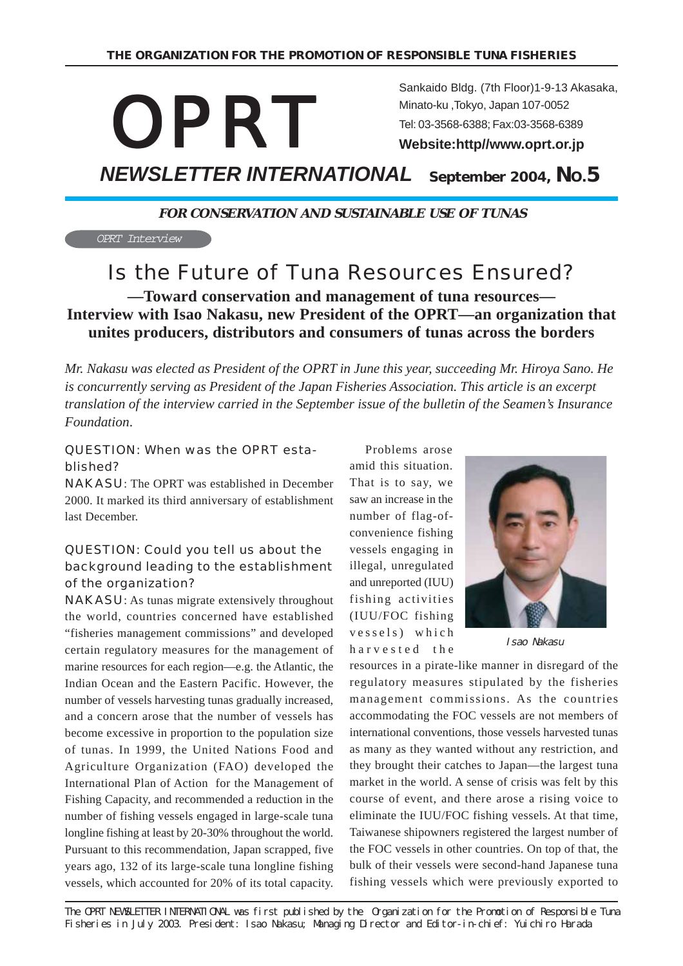

Sankaido Bldg. (7th Floor)1-9-13 Akasaka, Minato-ku ,Tokyo, Japan 107-0052 Tel: 03-3568-6388; Fax:03-3568-6389 **Website:http//www.oprt.or.jp**

*NEWSLETTER INTERNATIONAL*  **September 2004, NO.5**

**FOR CONSERVATION AND SUSTAINABLE USE OF TUNAS**

OPRT Interview

# Is the Future of Tuna Resources Ensured?

**—Toward conservation and management of tuna resources— Interview with Isao Nakasu, new President of the OPRT—an organization that unites producers, distributors and consumers of tunas across the borders**

*Mr. Nakasu was elected as President of the OPRT in June this year, succeeding Mr. Hiroya Sano. He is concurrently serving as President of the Japan Fisheries Association. This article is an excerpt translation of the interview carried in the September issue of the bulletin of the Seamen's Insurance Foundation*.

#### QUESTION: When was the OPRT established?

NAKASU: The OPRT was established in December 2000. It marked its third anniversary of establishment last December.

#### QUESTION: Could you tell us about the background leading to the establishment of the organization?

NAKASU: As tunas migrate extensively throughout the world, countries concerned have established "fisheries management commissions" and developed certain regulatory measures for the management of marine resources for each region—e.g. the Atlantic, the Indian Ocean and the Eastern Pacific. However, the number of vessels harvesting tunas gradually increased, and a concern arose that the number of vessels has become excessive in proportion to the population size of tunas. In 1999, the United Nations Food and Agriculture Organization (FAO) developed the International Plan of Action for the Management of Fishing Capacity, and recommended a reduction in the number of fishing vessels engaged in large-scale tuna longline fishing at least by 20-30% throughout the world. Pursuant to this recommendation, Japan scrapped, five years ago, 132 of its large-scale tuna longline fishing vessels, which accounted for 20% of its total capacity.

 Problems arose amid this situation. That is to say, we saw an increase in the number of flag-ofconvenience fishing vessels engaging in illegal, unregulated and unreported (IUU) fishing activities (IUU/FOC fishing vessels) which harvested the



Isao Nakasu

resources in a pirate-like manner in disregard of the regulatory measures stipulated by the fisheries management commissions. As the countries accommodating the FOC vessels are not members of international conventions, those vessels harvested tunas as many as they wanted without any restriction, and they brought their catches to Japan—the largest tuna market in the world. A sense of crisis was felt by this course of event, and there arose a rising voice to eliminate the IUU/FOC fishing vessels. At that time, Taiwanese shipowners registered the largest number of the FOC vessels in other countries. On top of that, the bulk of their vessels were second-hand Japanese tuna fishing vessels which were previously exported to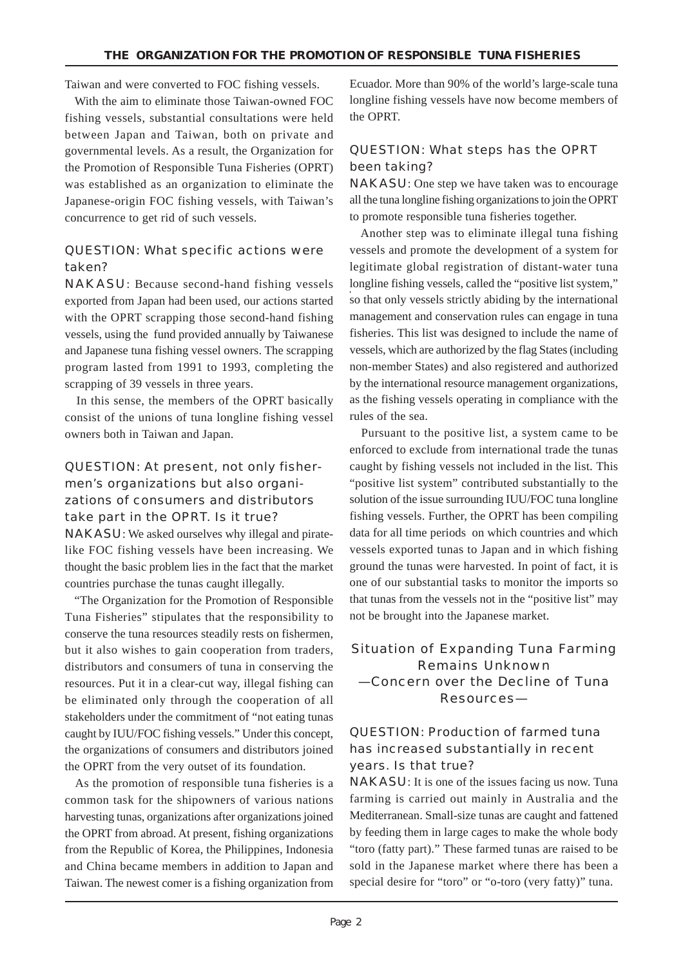Taiwan and were converted to FOC fishing vessels.

 With the aim to eliminate those Taiwan-owned FOC fishing vessels, substantial consultations were held between Japan and Taiwan, both on private and governmental levels. As a result, the Organization for the Promotion of Responsible Tuna Fisheries (OPRT) was established as an organization to eliminate the Japanese-origin FOC fishing vessels, with Taiwan's concurrence to get rid of such vessels.

#### QUESTION: What specific actions were taken?

NAKASU: Because second-hand fishing vessels exported from Japan had been used, our actions started with the OPRT scrapping those second-hand fishing vessels, using the fund provided annually by Taiwanese and Japanese tuna fishing vessel owners. The scrapping program lasted from 1991 to 1993, completing the scrapping of 39 vessels in three years.

 In this sense, the members of the OPRT basically consist of the unions of tuna longline fishing vessel owners both in Taiwan and Japan.

#### QUESTION: At present, not only fishermen's organizations but also organizations of consumers and distributors take part in the OPRT. Is it true?

NAKASU: We asked ourselves why illegal and piratelike FOC fishing vessels have been increasing. We thought the basic problem lies in the fact that the market countries purchase the tunas caught illegally.

 "The Organization for the Promotion of Responsible Tuna Fisheries" stipulates that the responsibility to conserve the tuna resources steadily rests on fishermen, but it also wishes to gain cooperation from traders, distributors and consumers of tuna in conserving the resources. Put it in a clear-cut way, illegal fishing can be eliminated only through the cooperation of all stakeholders under the commitment of "not eating tunas caught by IUU/FOC fishing vessels." Under this concept, the organizations of consumers and distributors joined the OPRT from the very outset of its foundation.

 As the promotion of responsible tuna fisheries is a common task for the shipowners of various nations harvesting tunas, organizations after organizations joined the OPRT from abroad. At present, fishing organizations from the Republic of Korea, the Philippines, Indonesia and China became members in addition to Japan and Taiwan. The newest comer is a fishing organization from Ecuador. More than 90% of the world's large-scale tuna longline fishing vessels have now become members of the OPRT.

#### QUESTION: What steps has the OPRT been taking?

NAKASU: One step we have taken was to encourage all the tuna longline fishing organizations to join the OPRT to promote responsible tuna fisheries together.

 Another step was to eliminate illegal tuna fishing vessels and promote the development of a system for legitimate global registration of distant-water tuna longline fishing vessels, called the "positive list system," so that only vessels strictly abiding by the international management and conservation rules can engage in tuna fisheries. This list was designed to include the name of vessels, which are authorized by the flag States (including non-member States) and also registered and authorized by the international resource management organizations, as the fishing vessels operating in compliance with the rules of the sea.

 Pursuant to the positive list, a system came to be enforced to exclude from international trade the tunas caught by fishing vessels not included in the list. This "positive list system" contributed substantially to the solution of the issue surrounding IUU/FOC tuna longline fishing vessels. Further, the OPRT has been compiling data for all time periods on which countries and which vessels exported tunas to Japan and in which fishing ground the tunas were harvested. In point of fact, it is one of our substantial tasks to monitor the imports so that tunas from the vessels not in the "positive list" may not be brought into the Japanese market.

#### Situation of Expanding Tuna Farming Remains Unknown —Concern over the Decline of Tuna Resources—

#### QUESTION: Production of farmed tuna has increased substantially in recent years. Is that true?

NAKASU: It is one of the issues facing us now. Tuna farming is carried out mainly in Australia and the Mediterranean. Small-size tunas are caught and fattened by feeding them in large cages to make the whole body "toro (fatty part)." These farmed tunas are raised to be sold in the Japanese market where there has been a special desire for "toro" or "o-toro (very fatty)" tuna.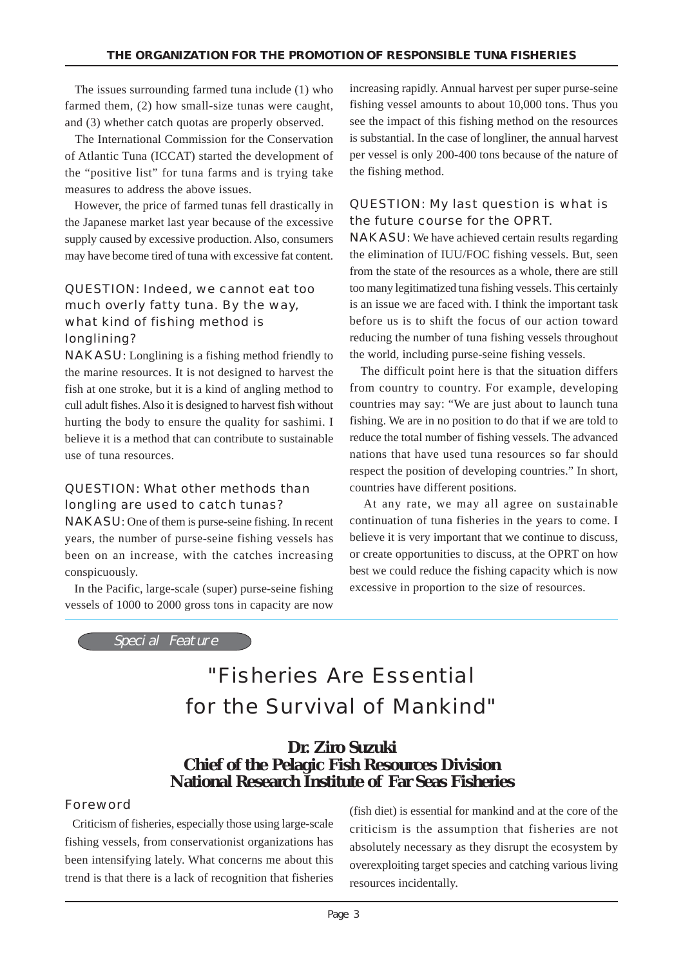The issues surrounding farmed tuna include (1) who farmed them, (2) how small-size tunas were caught, and (3) whether catch quotas are properly observed.

 The International Commission for the Conservation of Atlantic Tuna (ICCAT) started the development of the "positive list" for tuna farms and is trying take measures to address the above issues.

 However, the price of farmed tunas fell drastically in the Japanese market last year because of the excessive supply caused by excessive production. Also, consumers may have become tired of tuna with excessive fat content.

#### QUESTION: Indeed, we cannot eat too much overly fatty tuna. By the way, what kind of fishing method is longlining?

NAKASU: Longlining is a fishing method friendly to the marine resources. It is not designed to harvest the fish at one stroke, but it is a kind of angling method to cull adult fishes. Also it is designed to harvest fish without hurting the body to ensure the quality for sashimi. I believe it is a method that can contribute to sustainable use of tuna resources.

#### QUESTION: What other methods than longling are used to catch tunas?

NAKASU: One of them is purse-seine fishing. In recent years, the number of purse-seine fishing vessels has been on an increase, with the catches increasing conspicuously.

 In the Pacific, large-scale (super) purse-seine fishing vessels of 1000 to 2000 gross tons in capacity are now increasing rapidly. Annual harvest per super purse-seine fishing vessel amounts to about 10,000 tons. Thus you see the impact of this fishing method on the resources is substantial. In the case of longliner, the annual harvest per vessel is only 200-400 tons because of the nature of the fishing method.

#### QUESTION: My last question is what is the future course for the OPRT.

NAKASU: We have achieved certain results regarding the elimination of IUU/FOC fishing vessels. But, seen from the state of the resources as a whole, there are still too many legitimatized tuna fishing vessels. This certainly is an issue we are faced with. I think the important task before us is to shift the focus of our action toward reducing the number of tuna fishing vessels throughout the world, including purse-seine fishing vessels.

 The difficult point here is that the situation differs from country to country. For example, developing countries may say: "We are just about to launch tuna fishing. We are in no position to do that if we are told to reduce the total number of fishing vessels. The advanced nations that have used tuna resources so far should respect the position of developing countries." In short, countries have different positions.

 At any rate, we may all agree on sustainable continuation of tuna fisheries in the years to come. I believe it is very important that we continue to discuss, or create opportunities to discuss, at the OPRT on how best we could reduce the fishing capacity which is now excessive in proportion to the size of resources.

Special Feature

# "Fisheries Are Essential for the Survival of Mankind"

### **Dr. Ziro Suzuki Chief of the Pelagic Fish Resources Division National Research Institute of Far Seas Fisheries**

#### Foreword

 Criticism of fisheries, especially those using large-scale fishing vessels, from conservationist organizations has been intensifying lately. What concerns me about this trend is that there is a lack of recognition that fisheries (fish diet) is essential for mankind and at the core of the criticism is the assumption that fisheries are not absolutely necessary as they disrupt the ecosystem by overexploiting target species and catching various living resources incidentally.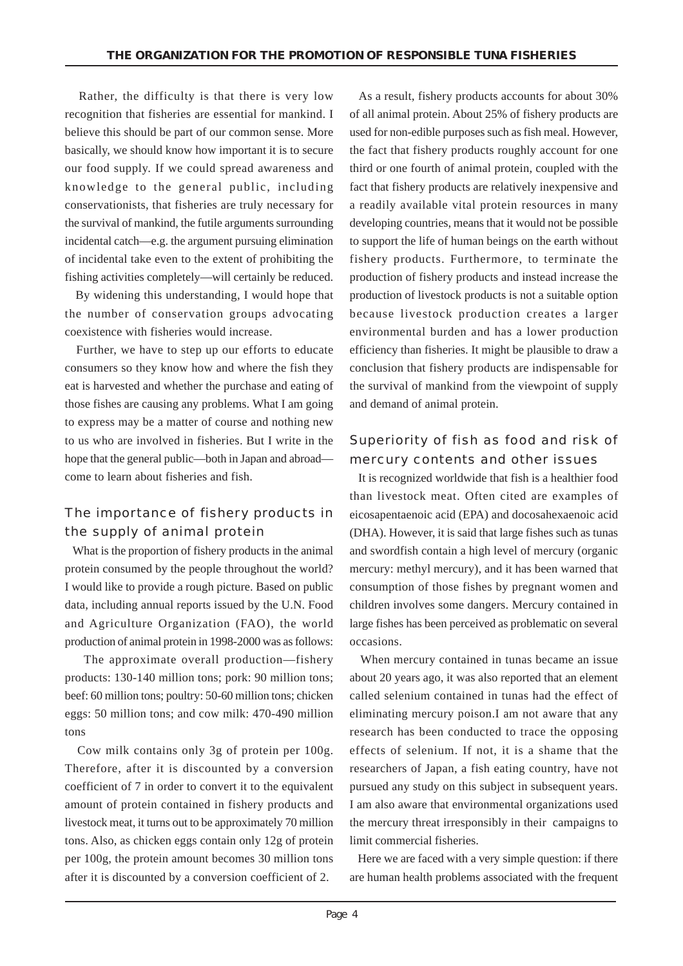Rather, the difficulty is that there is very low recognition that fisheries are essential for mankind. I believe this should be part of our common sense. More basically, we should know how important it is to secure our food supply. If we could spread awareness and knowledge to the general public, including conservationists, that fisheries are truly necessary for the survival of mankind, the futile arguments surrounding incidental catch—e.g. the argument pursuing elimination of incidental take even to the extent of prohibiting the fishing activities completely—will certainly be reduced.

 By widening this understanding, I would hope that the number of conservation groups advocating coexistence with fisheries would increase.

 Further, we have to step up our efforts to educate consumers so they know how and where the fish they eat is harvested and whether the purchase and eating of those fishes are causing any problems. What I am going to express may be a matter of course and nothing new to us who are involved in fisheries. But I write in the hope that the general public—both in Japan and abroad come to learn about fisheries and fish.

#### The importance of fishery products in the supply of animal protein

 What is the proportion of fishery products in the animal protein consumed by the people throughout the world? I would like to provide a rough picture. Based on public data, including annual reports issued by the U.N. Food and Agriculture Organization (FAO), the world production of animal protein in 1998-2000 was as follows:

 The approximate overall production—fishery products: 130-140 million tons; pork: 90 million tons; beef: 60 million tons; poultry: 50-60 million tons; chicken eggs: 50 million tons; and cow milk: 470-490 million tons

 Cow milk contains only 3g of protein per 100g. Therefore, after it is discounted by a conversion coefficient of 7 in order to convert it to the equivalent amount of protein contained in fishery products and livestock meat, it turns out to be approximately 70 million tons. Also, as chicken eggs contain only 12g of protein per 100g, the protein amount becomes 30 million tons after it is discounted by a conversion coefficient of 2.

 As a result, fishery products accounts for about 30% of all animal protein. About 25% of fishery products are used for non-edible purposes such as fish meal. However, the fact that fishery products roughly account for one third or one fourth of animal protein, coupled with the fact that fishery products are relatively inexpensive and a readily available vital protein resources in many developing countries, means that it would not be possible to support the life of human beings on the earth without fishery products. Furthermore, to terminate the production of fishery products and instead increase the production of livestock products is not a suitable option because livestock production creates a larger environmental burden and has a lower production efficiency than fisheries. It might be plausible to draw a conclusion that fishery products are indispensable for the survival of mankind from the viewpoint of supply and demand of animal protein.

#### Superiority of fish as food and risk of mercury contents and other issues

 It is recognized worldwide that fish is a healthier food than livestock meat. Often cited are examples of eicosapentaenoic acid (EPA) and docosahexaenoic acid (DHA). However, it is said that large fishes such as tunas and swordfish contain a high level of mercury (organic mercury: methyl mercury), and it has been warned that consumption of those fishes by pregnant women and children involves some dangers. Mercury contained in large fishes has been perceived as problematic on several occasions.

 When mercury contained in tunas became an issue about 20 years ago, it was also reported that an element called selenium contained in tunas had the effect of eliminating mercury poison.I am not aware that any research has been conducted to trace the opposing effects of selenium. If not, it is a shame that the researchers of Japan, a fish eating country, have not pursued any study on this subject in subsequent years. I am also aware that environmental organizations used the mercury threat irresponsibly in their campaigns to limit commercial fisheries.

 Here we are faced with a very simple question: if there are human health problems associated with the frequent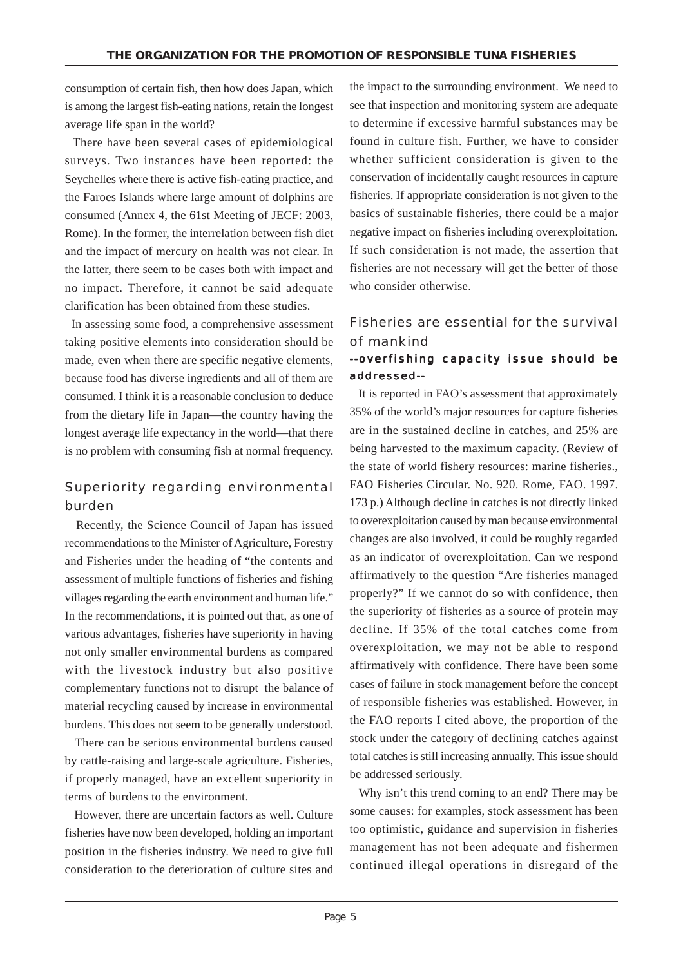consumption of certain fish, then how does Japan, which is among the largest fish-eating nations, retain the longest average life span in the world?

 There have been several cases of epidemiological surveys. Two instances have been reported: the Seychelles where there is active fish-eating practice, and the Faroes Islands where large amount of dolphins are consumed (Annex 4, the 61st Meeting of JECF: 2003, Rome). In the former, the interrelation between fish diet and the impact of mercury on health was not clear. In the latter, there seem to be cases both with impact and no impact. Therefore, it cannot be said adequate clarification has been obtained from these studies.

 In assessing some food, a comprehensive assessment taking positive elements into consideration should be made, even when there are specific negative elements, because food has diverse ingredients and all of them are consumed. I think it is a reasonable conclusion to deduce from the dietary life in Japan—the country having the longest average life expectancy in the world—that there is no problem with consuming fish at normal frequency.

#### Superiority regarding environmental burden

 Recently, the Science Council of Japan has issued recommendations to the Minister of Agriculture, Forestry and Fisheries under the heading of "the contents and assessment of multiple functions of fisheries and fishing villages regarding the earth environment and human life." In the recommendations, it is pointed out that, as one of various advantages, fisheries have superiority in having not only smaller environmental burdens as compared with the livestock industry but also positive complementary functions not to disrupt the balance of material recycling caused by increase in environmental burdens. This does not seem to be generally understood.

 There can be serious environmental burdens caused by cattle-raising and large-scale agriculture. Fisheries, if properly managed, have an excellent superiority in terms of burdens to the environment.

 However, there are uncertain factors as well. Culture fisheries have now been developed, holding an important position in the fisheries industry. We need to give full consideration to the deterioration of culture sites and

the impact to the surrounding environment. We need to see that inspection and monitoring system are adequate to determine if excessive harmful substances may be found in culture fish. Further, we have to consider whether sufficient consideration is given to the conservation of incidentally caught resources in capture fisheries. If appropriate consideration is not given to the basics of sustainable fisheries, there could be a major negative impact on fisheries including overexploitation. If such consideration is not made, the assertion that fisheries are not necessary will get the better of those who consider otherwise.

#### Fisheries are essential for the survival of mankind --overfishing capacity issue should be

# addressed--

 It is reported in FAO's assessment that approximately 35% of the world's major resources for capture fisheries are in the sustained decline in catches, and 25% are being harvested to the maximum capacity. (Review of the state of world fishery resources: marine fisheries., FAO Fisheries Circular. No. 920. Rome, FAO. 1997. 173 p.) Although decline in catches is not directly linked to overexploitation caused by man because environmental changes are also involved, it could be roughly regarded as an indicator of overexploitation. Can we respond affirmatively to the question "Are fisheries managed properly?" If we cannot do so with confidence, then the superiority of fisheries as a source of protein may decline. If 35% of the total catches come from overexploitation, we may not be able to respond affirmatively with confidence. There have been some cases of failure in stock management before the concept of responsible fisheries was established. However, in the FAO reports I cited above, the proportion of the stock under the category of declining catches against total catches is still increasing annually. This issue should be addressed seriously.

 Why isn't this trend coming to an end? There may be some causes: for examples, stock assessment has been too optimistic, guidance and supervision in fisheries management has not been adequate and fishermen continued illegal operations in disregard of the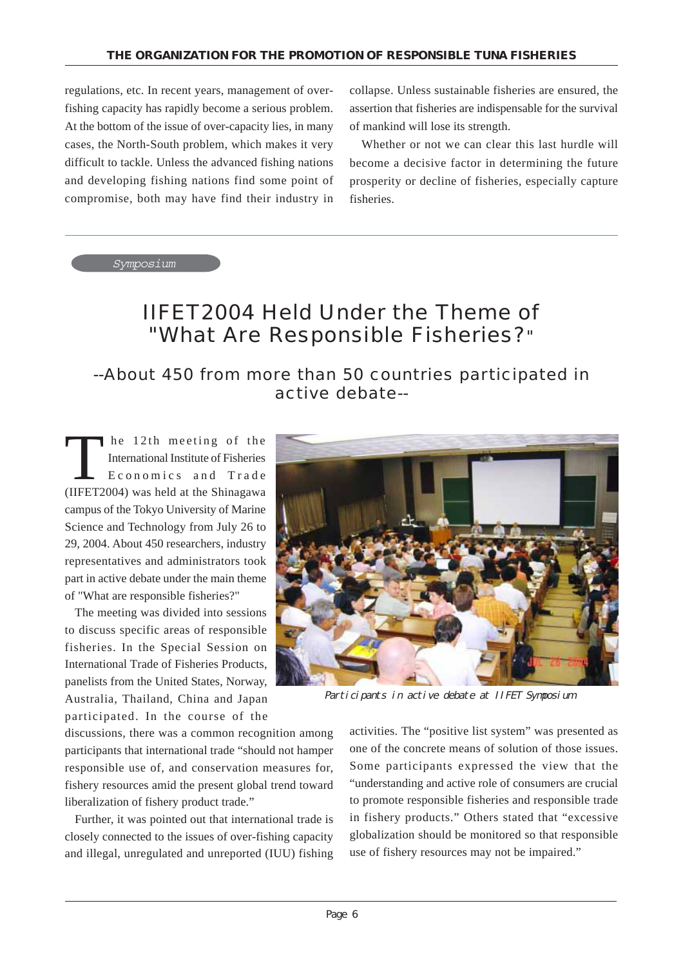regulations, etc. In recent years, management of overfishing capacity has rapidly become a serious problem. At the bottom of the issue of over-capacity lies, in many cases, the North-South problem, which makes it very difficult to tackle. Unless the advanced fishing nations and developing fishing nations find some point of compromise, both may have find their industry in collapse. Unless sustainable fisheries are ensured, the assertion that fisheries are indispensable for the survival of mankind will lose its strength.

 Whether or not we can clear this last hurdle will become a decisive factor in determining the future prosperity or decline of fisheries, especially capture fisheries.

Symposium

## IIFET2004 Held Under the Theme of "What Are Responsible Fisheries?"

## --About 450 from more than 50 countries participated in active debate--

The 12th meeting of the<br>International Institute of Fisheries<br>Economics and Trade International Institute of Fisheries Economics and Trade (IIFET2004) was held at the Shinagawa campus of the Tokyo University of Marine Science and Technology from July 26 to 29, 2004. About 450 researchers, industry representatives and administrators took part in active debate under the main theme of "What are responsible fisheries?"

 The meeting was divided into sessions to discuss specific areas of responsible fisheries. In the Special Session on International Trade of Fisheries Products, panelists from the United States, Norway, Australia, Thailand, China and Japan participated. In the course of the



Participants in active debate at IIFET Symposium

discussions, there was a common recognition among participants that international trade "should not hamper responsible use of, and conservation measures for, fishery resources amid the present global trend toward liberalization of fishery product trade."

 Further, it was pointed out that international trade is closely connected to the issues of over-fishing capacity and illegal, unregulated and unreported (IUU) fishing

activities. The "positive list system" was presented as one of the concrete means of solution of those issues. Some participants expressed the view that the "understanding and active role of consumers are crucial to promote responsible fisheries and responsible trade in fishery products." Others stated that "excessive globalization should be monitored so that responsible use of fishery resources may not be impaired."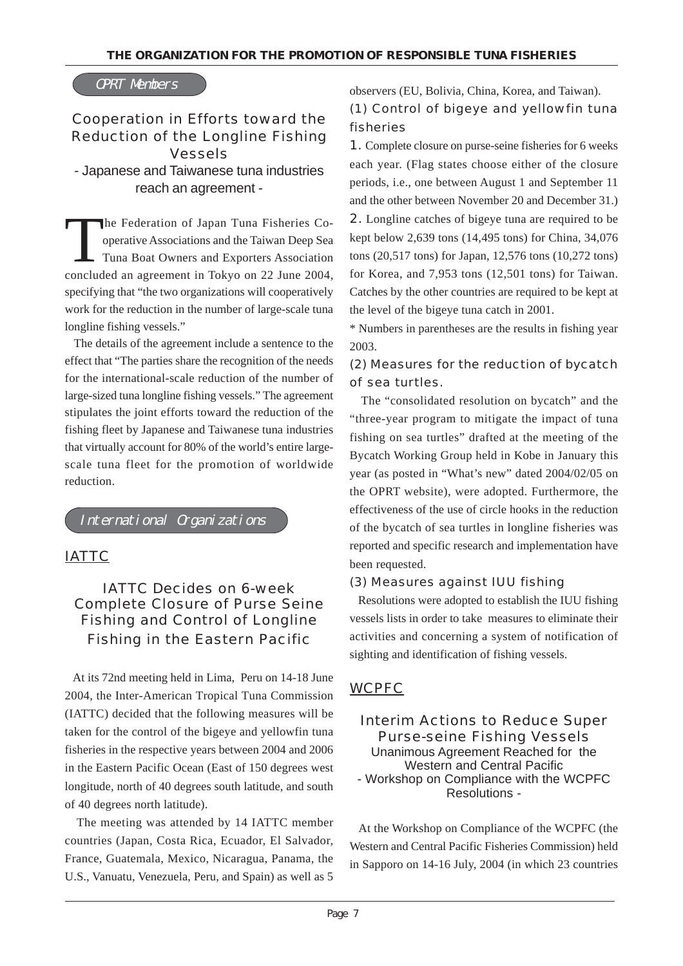#### OPRT Members

#### Cooperation in Efforts toward the Reduction of the Longline Fishing Vessels

- Japanese and Taiwanese tuna industries reach an agreement -

The Federation of Japan Tuna Fisheries Cooperative Associations and the Taiwan Deep Sea Tuna Boat Owners and Exporters Association concluded an agreement in Tokyo on 22 June 2004, specifying that "the two organizations will cooperatively work for the reduction in the number of large-scale tuna longline fishing vessels."

 The details of the agreement include a sentence to the effect that "The parties share the recognition of the needs for the international-scale reduction of the number of large-sized tuna longline fishing vessels." The agreement stipulates the joint efforts toward the reduction of the fishing fleet by Japanese and Taiwanese tuna industries that virtually account for 80% of the world's entire largescale tuna fleet for the promotion of worldwide reduction.

International Organizations

#### *IATTC*

#### IATTC Decides on 6-week Complete Closure of Purse Seine Fishing and Control of Longline Fishing in the Eastern Pacific

 At its 72nd meeting held in Lima, Peru on 14-18 June 2004, the Inter-American Tropical Tuna Commission (IATTC) decided that the following measures will be taken for the control of the bigeye and yellowfin tuna fisheries in the respective years between 2004 and 2006 in the Eastern Pacific Ocean (East of 150 degrees west longitude, north of 40 degrees south latitude, and south of 40 degrees north latitude).

 The meeting was attended by 14 IATTC member countries (Japan, Costa Rica, Ecuador, El Salvador, France, Guatemala, Mexico, Nicaragua, Panama, the U.S., Vanuatu, Venezuela, Peru, and Spain) as well as 5 observers (EU, Bolivia, China, Korea, and Taiwan).

### (1) Control of bigeye and yellowfin tuna fisheries

1. Complete closure on purse-seine fisheries for 6 weeks each year. (Flag states choose either of the closure periods, i.e., one between August 1 and September 11 and the other between November 20 and December 31.) 2. Longline catches of bigeye tuna are required to be kept below 2,639 tons (14,495 tons) for China, 34,076 tons (20,517 tons) for Japan, 12,576 tons (10,272 tons) for Korea, and 7,953 tons (12,501 tons) for Taiwan. Catches by the other countries are required to be kept at the level of the bigeye tuna catch in 2001.

\* Numbers in parentheses are the results in fishing year 2003.

#### (2) Measures for the reduction of bycatch of sea turtles.

 The "consolidated resolution on bycatch" and the "three-year program to mitigate the impact of tuna fishing on sea turtles" drafted at the meeting of the Bycatch Working Group held in Kobe in January this year (as posted in "What's new" dated 2004/02/05 on the OPRT website), were adopted. Furthermore, the effectiveness of the use of circle hooks in the reduction of the bycatch of sea turtles in longline fisheries was reported and specific research and implementation have been requested.

#### (3) Measures against IUU fishing

 Resolutions were adopted to establish the IUU fishing vessels lists in order to take measures to eliminate their activities and concerning a system of notification of sighting and identification of fishing vessels.

#### *WCPFC*

Interim Actions to Reduce Super Purse-seine Fishing Vessels Unanimous Agreement Reached for the Western and Central Pacific - Workshop on Compliance with the WCPFC Resolutions -

 At the Workshop on Compliance of the WCPFC (the Western and Central Pacific Fisheries Commission) held in Sapporo on 14-16 July, 2004 (in which 23 countries